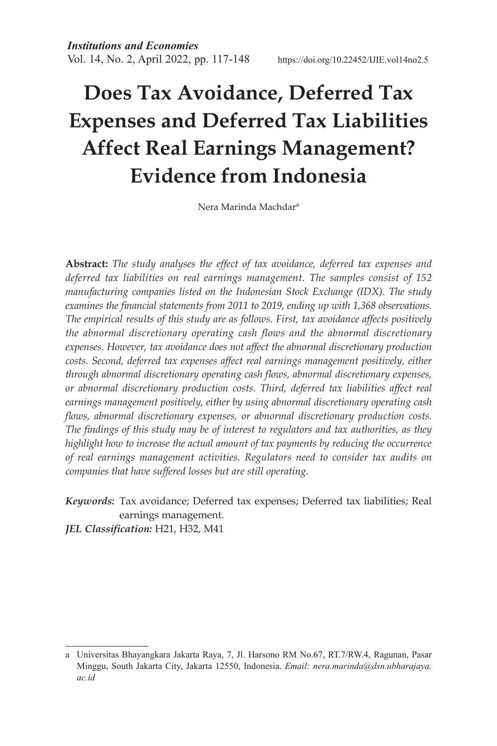# **Does Tax Avoidance, Deferred Tax Expenses and Deferred Tax Liabilities Affect Real Earnings Management? Evidence from Indonesia**

Nera Marinda Machdara

**Abstract:** *The study analyses the effect of tax avoidance, deferred tax expenses and deferred tax liabilities on real earnings management. The samples consist of 152 manufacturing companies listed on the Indonesian Stock Exchange (IDX). The study examines the financial statements from 2011 to 2019, ending up with 1,368 observations. The empirical results of this study are as follows. First, tax avoidance affects positively the abnormal discretionary operating cash flows and the abnormal discretionary expenses. However, tax avoidance does not affect the abnormal discretionary production costs. Second, deferred tax expenses affect real earnings management positively, either through abnormal discretionary operating cash flows, abnormal discretionary expenses, or abnormal discretionary production costs. Third, deferred tax liabilities affect real earnings management positively, either by using abnormal discretionary operating cash flows, abnormal discretionary expenses, or abnormal discretionary production costs. The findings of this study may be of interest to regulators and tax authorities, as they highlight how to increase the actual amount of tax payments by reducing the occurrence of real earnings management activities. Regulators need to consider tax audits on companies that have suffered losses but are still operating.* 

*Keywords:* Tax avoidance; Deferred tax expenses; Deferred tax liabilities; Real earnings management.

*JEL Classification:* H21, H32, M41

a Universitas Bhayangkara Jakarta Raya, 7, Jl. Harsono RM No.67, RT.7/RW.4, Ragunan, Pasar Minggu, South Jakarta City, Jakarta 12550, Indonesia. *Email: nera.marinda@dsn.ubharajaya. ac.id*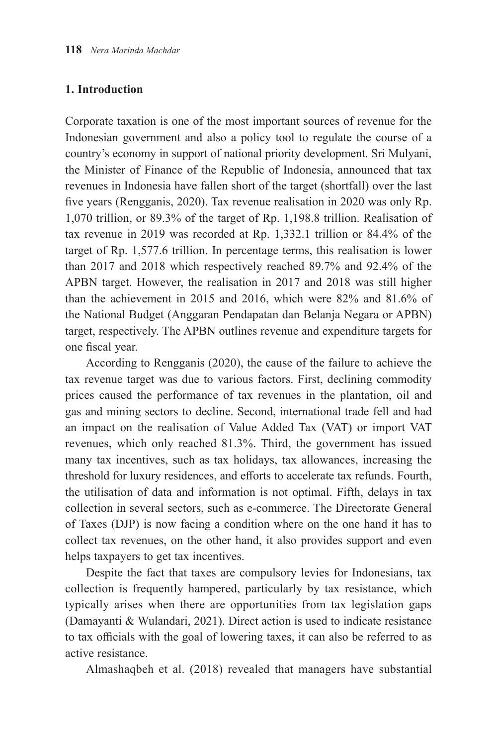# **1. Introduction**

Corporate taxation is one of the most important sources of revenue for the Indonesian government and also a policy tool to regulate the course of a country's economy in support of national priority development. Sri Mulyani, the Minister of Finance of the Republic of Indonesia, announced that tax revenues in Indonesia have fallen short of the target (shortfall) over the last five years (Rengganis, 2020). Tax revenue realisation in 2020 was only Rp. 1,070 trillion, or 89.3% of the target of Rp. 1,198.8 trillion. Realisation of tax revenue in 2019 was recorded at Rp. 1,332.1 trillion or 84.4% of the target of Rp. 1,577.6 trillion. In percentage terms, this realisation is lower than 2017 and 2018 which respectively reached 89.7% and 92.4% of the APBN target. However, the realisation in 2017 and 2018 was still higher than the achievement in 2015 and 2016, which were 82% and 81.6% of the National Budget (Anggaran Pendapatan dan Belanja Negara or APBN) target, respectively. The APBN outlines revenue and expenditure targets for one fiscal year.

According to Rengganis (2020), the cause of the failure to achieve the tax revenue target was due to various factors. First, declining commodity prices caused the performance of tax revenues in the plantation, oil and gas and mining sectors to decline. Second, international trade fell and had an impact on the realisation of Value Added Tax (VAT) or import VAT revenues, which only reached 81.3%. Third, the government has issued many tax incentives, such as tax holidays, tax allowances, increasing the threshold for luxury residences, and efforts to accelerate tax refunds. Fourth, the utilisation of data and information is not optimal. Fifth, delays in tax collection in several sectors, such as e-commerce. The Directorate General of Taxes (DJP) is now facing a condition where on the one hand it has to collect tax revenues, on the other hand, it also provides support and even helps taxpayers to get tax incentives.

Despite the fact that taxes are compulsory levies for Indonesians, tax collection is frequently hampered, particularly by tax resistance, which typically arises when there are opportunities from tax legislation gaps (Damayanti & Wulandari, 2021). Direct action is used to indicate resistance to tax officials with the goal of lowering taxes, it can also be referred to as active resistance.

Almashaqbeh et al. (2018) revealed that managers have substantial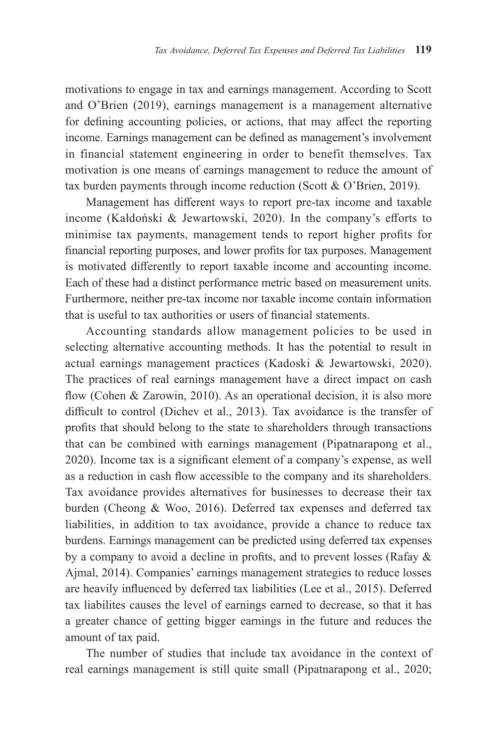motivations to engage in tax and earnings management. According to Scott and O'Brien (2019), earnings management is a management alternative for defining accounting policies, or actions, that may affect the reporting income. Earnings management can be defined as management's involvement in financial statement engineering in order to benefit themselves. Tax motivation is one means of earnings management to reduce the amount of tax burden payments through income reduction (Scott & O'Brien, 2019).

Management has different ways to report pre-tax income and taxable income (Kałdoński & Jewartowski, 2020). In the company's efforts to minimise tax payments, management tends to report higher profits for financial reporting purposes, and lower profits for tax purposes. Management is motivated differently to report taxable income and accounting income. Each of these had a distinct performance metric based on measurement units. Furthermore, neither pre-tax income nor taxable income contain information that is useful to tax authorities or users of financial statements.

Accounting standards allow management policies to be used in selecting alternative accounting methods. It has the potential to result in actual earnings management practices (Kadoski & Jewartowski, 2020). The practices of real earnings management have a direct impact on cash flow (Cohen & Zarowin, 2010). As an operational decision, it is also more difficult to control (Dichev et al., 2013). Tax avoidance is the transfer of profits that should belong to the state to shareholders through transactions that can be combined with earnings management (Pipatnarapong et al., 2020). Income tax is a significant element of a company's expense, as well as a reduction in cash flow accessible to the company and its shareholders. Tax avoidance provides alternatives for businesses to decrease their tax burden (Cheong & Woo, 2016). Deferred tax expenses and deferred tax liabilities, in addition to tax avoidance, provide a chance to reduce tax burdens. Earnings management can be predicted using deferred tax expenses by a company to avoid a decline in profits, and to prevent losses (Rafay & Ajmal, 2014). Companies' earnings management strategies to reduce losses are heavily influenced by deferred tax liabilities (Lee et al., 2015). Deferred tax liabilites causes the level of earnings earned to decrease, so that it has a greater chance of getting bigger earnings in the future and reduces the amount of tax paid.

The number of studies that include tax avoidance in the context of real earnings management is still quite small (Pipatnarapong et al., 2020;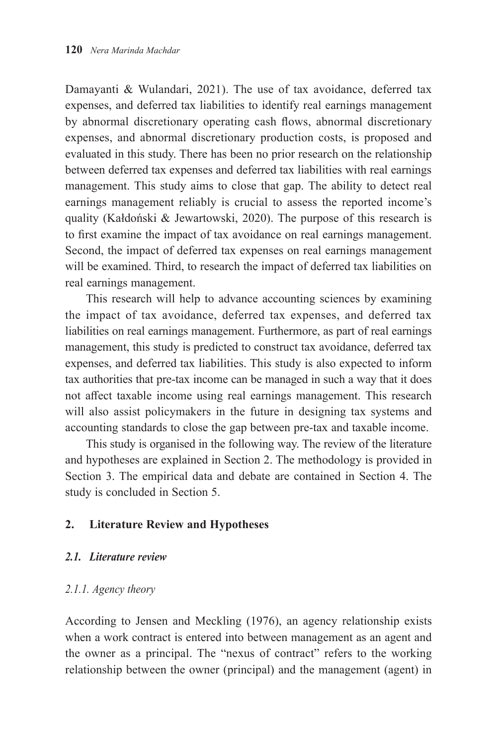Damayanti & Wulandari, 2021). The use of tax avoidance, deferred tax expenses, and deferred tax liabilities to identify real earnings management by abnormal discretionary operating cash flows, abnormal discretionary expenses, and abnormal discretionary production costs, is proposed and evaluated in this study. There has been no prior research on the relationship between deferred tax expenses and deferred tax liabilities with real earnings management. This study aims to close that gap. The ability to detect real earnings management reliably is crucial to assess the reported income's quality (Kałdoński & Jewartowski, 2020). The purpose of this research is to first examine the impact of tax avoidance on real earnings management. Second, the impact of deferred tax expenses on real earnings management will be examined. Third, to research the impact of deferred tax liabilities on real earnings management.

This research will help to advance accounting sciences by examining the impact of tax avoidance, deferred tax expenses, and deferred tax liabilities on real earnings management. Furthermore, as part of real earnings management, this study is predicted to construct tax avoidance, deferred tax expenses, and deferred tax liabilities. This study is also expected to inform tax authorities that pre-tax income can be managed in such a way that it does not affect taxable income using real earnings management. This research will also assist policymakers in the future in designing tax systems and accounting standards to close the gap between pre-tax and taxable income.

This study is organised in the following way. The review of the literature and hypotheses are explained in Section 2. The methodology is provided in Section 3. The empirical data and debate are contained in Section 4. The study is concluded in Section 5.

# **2. Literature Review and Hypotheses**

## *2.1. Literature review*

## *2.1.1. Agency theory*

According to Jensen and Meckling (1976), an agency relationship exists when a work contract is entered into between management as an agent and the owner as a principal. The "nexus of contract" refers to the working relationship between the owner (principal) and the management (agent) in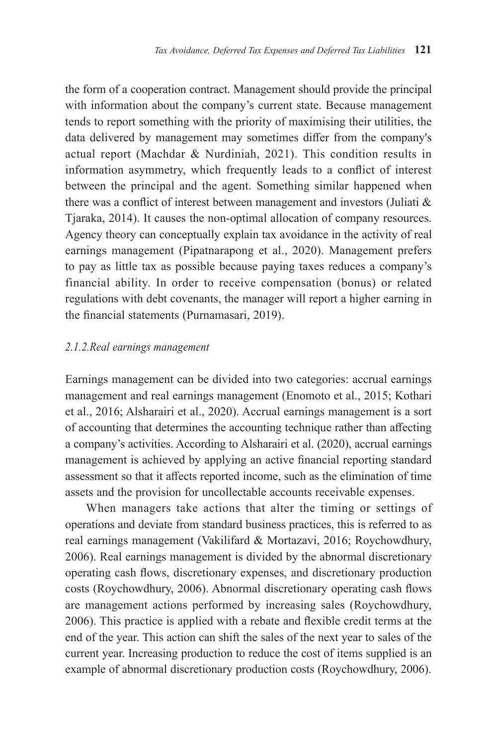the form of a cooperation contract. Management should provide the principal with information about the company's current state. Because management tends to report something with the priority of maximising their utilities, the data delivered by management may sometimes differ from the company's actual report (Machdar & Nurdiniah, 2021). This condition results in information asymmetry, which frequently leads to a conflict of interest between the principal and the agent. Something similar happened when there was a conflict of interest between management and investors (Juliati & Tjaraka, 2014). It causes the non-optimal allocation of company resources. Agency theory can conceptually explain tax avoidance in the activity of real earnings management (Pipatnarapong et al., 2020). Management prefers to pay as little tax as possible because paying taxes reduces a company's financial ability. In order to receive compensation (bonus) or related regulations with debt covenants, the manager will report a higher earning in the financial statements (Purnamasari, 2019).

## *2.1.2.Real earnings management*

Earnings management can be divided into two categories: accrual earnings management and real earnings management (Enomoto et al., 2015; Kothari et al., 2016; Alsharairi et al., 2020). Accrual earnings management is a sort of accounting that determines the accounting technique rather than affecting a company's activities. According to Alsharairi et al. (2020), accrual earnings management is achieved by applying an active financial reporting standard assessment so that it affects reported income, such as the elimination of time assets and the provision for uncollectable accounts receivable expenses.

When managers take actions that alter the timing or settings of operations and deviate from standard business practices, this is referred to as real earnings management (Vakilifard & Mortazavi, 2016; Roychowdhury, 2006). Real earnings management is divided by the abnormal discretionary operating cash flows, discretionary expenses, and discretionary production costs (Roychowdhury, 2006). Abnormal discretionary operating cash flows are management actions performed by increasing sales (Roychowdhury, 2006). This practice is applied with a rebate and flexible credit terms at the end of the year. This action can shift the sales of the next year to sales of the current year. Increasing production to reduce the cost of items supplied is an example of abnormal discretionary production costs (Roychowdhury, 2006).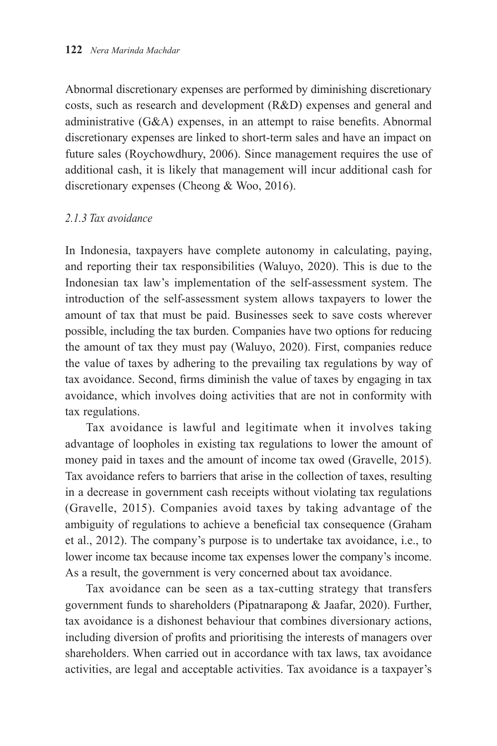Abnormal discretionary expenses are performed by diminishing discretionary costs, such as research and development (R&D) expenses and general and administrative (G&A) expenses, in an attempt to raise benefits. Abnormal discretionary expenses are linked to short-term sales and have an impact on future sales (Roychowdhury, 2006). Since management requires the use of additional cash, it is likely that management will incur additional cash for discretionary expenses (Cheong & Woo, 2016).

# *2.1.3 Tax avoidance*

In Indonesia, taxpayers have complete autonomy in calculating, paying, and reporting their tax responsibilities (Waluyo, 2020). This is due to the Indonesian tax law's implementation of the self-assessment system. The introduction of the self-assessment system allows taxpayers to lower the amount of tax that must be paid. Businesses seek to save costs wherever possible, including the tax burden. Companies have two options for reducing the amount of tax they must pay (Waluyo, 2020). First, companies reduce the value of taxes by adhering to the prevailing tax regulations by way of tax avoidance. Second, firms diminish the value of taxes by engaging in tax avoidance, which involves doing activities that are not in conformity with tax regulations.

Tax avoidance is lawful and legitimate when it involves taking advantage of loopholes in existing tax regulations to lower the amount of money paid in taxes and the amount of income tax owed (Gravelle, 2015). Tax avoidance refers to barriers that arise in the collection of taxes, resulting in a decrease in government cash receipts without violating tax regulations (Gravelle, 2015). Companies avoid taxes by taking advantage of the ambiguity of regulations to achieve a beneficial tax consequence (Graham et al., 2012). The company's purpose is to undertake tax avoidance, i.e., to lower income tax because income tax expenses lower the company's income. As a result, the government is very concerned about tax avoidance.

Tax avoidance can be seen as a tax-cutting strategy that transfers government funds to shareholders (Pipatnarapong & Jaafar, 2020). Further, tax avoidance is a dishonest behaviour that combines diversionary actions, including diversion of profits and prioritising the interests of managers over shareholders. When carried out in accordance with tax laws, tax avoidance activities, are legal and acceptable activities. Tax avoidance is a taxpayer's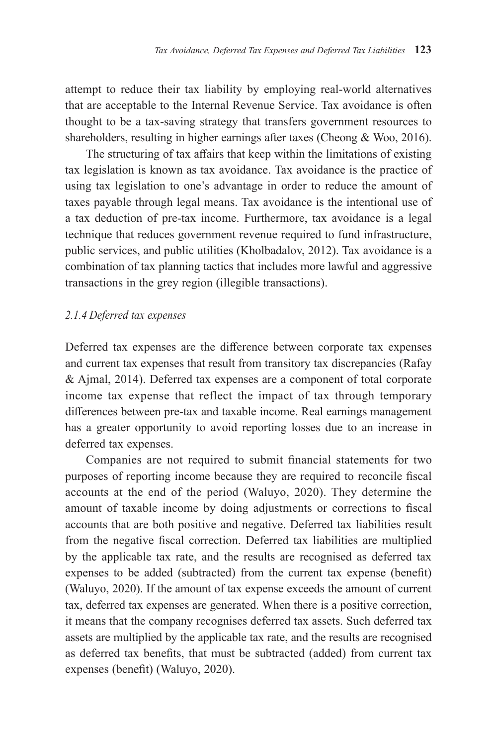attempt to reduce their tax liability by employing real-world alternatives that are acceptable to the Internal Revenue Service. Tax avoidance is often thought to be a tax-saving strategy that transfers government resources to shareholders, resulting in higher earnings after taxes (Cheong & Woo, 2016).

The structuring of tax affairs that keep within the limitations of existing tax legislation is known as tax avoidance. Tax avoidance is the practice of using tax legislation to one's advantage in order to reduce the amount of taxes payable through legal means. Tax avoidance is the intentional use of a tax deduction of pre-tax income. Furthermore, tax avoidance is a legal technique that reduces government revenue required to fund infrastructure, public services, and public utilities (Kholbadalov, 2012). Tax avoidance is a combination of tax planning tactics that includes more lawful and aggressive transactions in the grey region (illegible transactions).

## *2.1.4 Deferred tax expenses*

Deferred tax expenses are the difference between corporate tax expenses and current tax expenses that result from transitory tax discrepancies (Rafay & Ajmal, 2014). Deferred tax expenses are a component of total corporate income tax expense that reflect the impact of tax through temporary differences between pre-tax and taxable income. Real earnings management has a greater opportunity to avoid reporting losses due to an increase in deferred tax expenses.

Companies are not required to submit financial statements for two purposes of reporting income because they are required to reconcile fiscal accounts at the end of the period (Waluyo, 2020). They determine the amount of taxable income by doing adjustments or corrections to fiscal accounts that are both positive and negative. Deferred tax liabilities result from the negative fiscal correction. Deferred tax liabilities are multiplied by the applicable tax rate, and the results are recognised as deferred tax expenses to be added (subtracted) from the current tax expense (benefit) (Waluyo, 2020). If the amount of tax expense exceeds the amount of current tax, deferred tax expenses are generated. When there is a positive correction, it means that the company recognises deferred tax assets. Such deferred tax assets are multiplied by the applicable tax rate, and the results are recognised as deferred tax benefits, that must be subtracted (added) from current tax expenses (benefit) (Waluyo, 2020).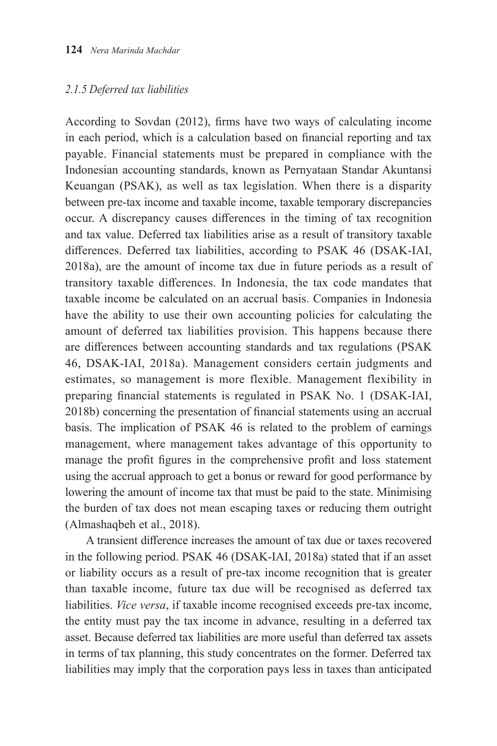## *2.1.5 Deferred tax liabilities*

According to Sovdan (2012), firms have two ways of calculating income in each period, which is a calculation based on financial reporting and tax payable. Financial statements must be prepared in compliance with the Indonesian accounting standards, known as Pernyataan Standar Akuntansi Keuangan (PSAK), as well as tax legislation. When there is a disparity between pre-tax income and taxable income, taxable temporary discrepancies occur. A discrepancy causes differences in the timing of tax recognition and tax value. Deferred tax liabilities arise as a result of transitory taxable differences. Deferred tax liabilities, according to PSAK 46 (DSAK-IAI, 2018a), are the amount of income tax due in future periods as a result of transitory taxable differences. In Indonesia, the tax code mandates that taxable income be calculated on an accrual basis. Companies in Indonesia have the ability to use their own accounting policies for calculating the amount of deferred tax liabilities provision. This happens because there are differences between accounting standards and tax regulations (PSAK 46, DSAK-IAI, 2018a). Management considers certain judgments and estimates, so management is more flexible. Management flexibility in preparing financial statements is regulated in PSAK No. 1 (DSAK-IAI, 2018b) concerning the presentation of financial statements using an accrual basis. The implication of PSAK 46 is related to the problem of earnings management, where management takes advantage of this opportunity to manage the profit figures in the comprehensive profit and loss statement using the accrual approach to get a bonus or reward for good performance by lowering the amount of income tax that must be paid to the state. Minimising the burden of tax does not mean escaping taxes or reducing them outright (Almashaqbeh et al., 2018).

A transient difference increases the amount of tax due or taxes recovered in the following period. PSAK 46 (DSAK-IAI, 2018a) stated that if an asset or liability occurs as a result of pre-tax income recognition that is greater than taxable income, future tax due will be recognised as deferred tax liabilities. *Vice versa*, if taxable income recognised exceeds pre-tax income, the entity must pay the tax income in advance, resulting in a deferred tax asset. Because deferred tax liabilities are more useful than deferred tax assets in terms of tax planning, this study concentrates on the former. Deferred tax liabilities may imply that the corporation pays less in taxes than anticipated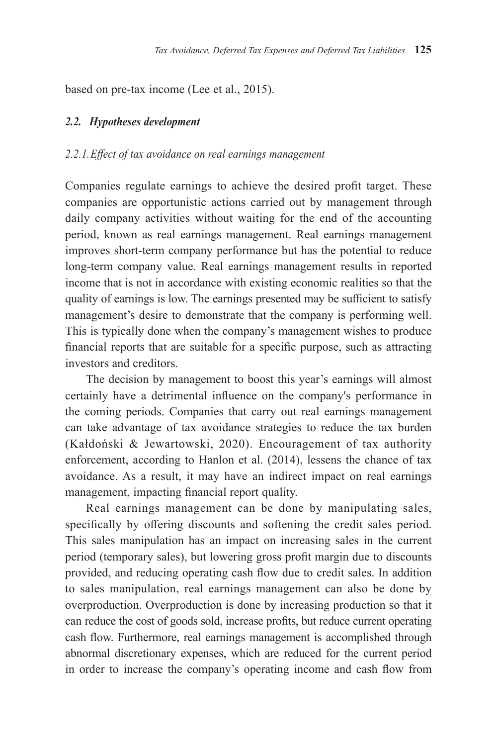based on pre-tax income (Lee et al., 2015).

## *2.2. Hypotheses development*

## *2.2.1. Effect of tax avoidance on real earnings management*

Companies regulate earnings to achieve the desired profit target. These companies are opportunistic actions carried out by management through daily company activities without waiting for the end of the accounting period, known as real earnings management. Real earnings management improves short-term company performance but has the potential to reduce long-term company value. Real earnings management results in reported income that is not in accordance with existing economic realities so that the quality of earnings is low. The earnings presented may be sufficient to satisfy management's desire to demonstrate that the company is performing well. This is typically done when the company's management wishes to produce financial reports that are suitable for a specific purpose, such as attracting investors and creditors.

The decision by management to boost this year's earnings will almost certainly have a detrimental influence on the company's performance in the coming periods. Companies that carry out real earnings management can take advantage of tax avoidance strategies to reduce the tax burden (Kałdoński & Jewartowski, 2020). Encouragement of tax authority enforcement, according to Hanlon et al. (2014), lessens the chance of tax avoidance. As a result, it may have an indirect impact on real earnings management, impacting financial report quality.

Real earnings management can be done by manipulating sales, specifically by offering discounts and softening the credit sales period. This sales manipulation has an impact on increasing sales in the current period (temporary sales), but lowering gross profit margin due to discounts provided, and reducing operating cash flow due to credit sales. In addition to sales manipulation, real earnings management can also be done by overproduction. Overproduction is done by increasing production so that it can reduce the cost of goods sold, increase profits, but reduce current operating cash flow. Furthermore, real earnings management is accomplished through abnormal discretionary expenses, which are reduced for the current period in order to increase the company's operating income and cash flow from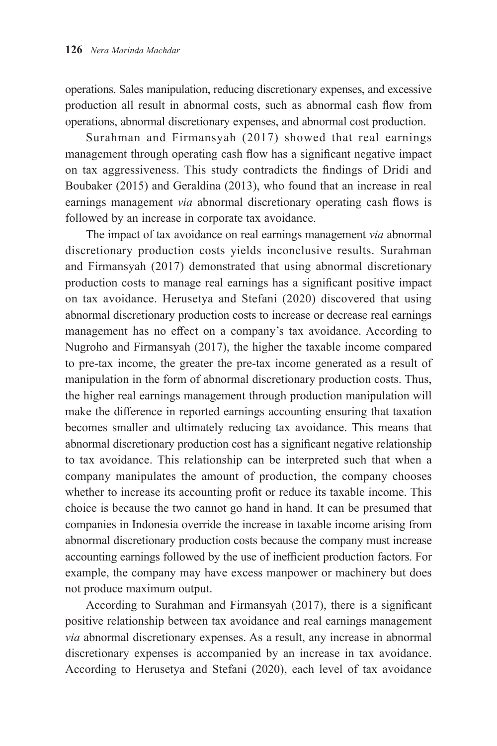operations. Sales manipulation, reducing discretionary expenses, and excessive production all result in abnormal costs, such as abnormal cash flow from operations, abnormal discretionary expenses, and abnormal cost production.

Surahman and Firmansyah (2017) showed that real earnings management through operating cash flow has a significant negative impact on tax aggressiveness. This study contradicts the findings of Dridi and Boubaker (2015) and Geraldina (2013), who found that an increase in real earnings management *via* abnormal discretionary operating cash flows is followed by an increase in corporate tax avoidance.

The impact of tax avoidance on real earnings management *via* abnormal discretionary production costs yields inconclusive results. Surahman and Firmansyah (2017) demonstrated that using abnormal discretionary production costs to manage real earnings has a significant positive impact on tax avoidance. Herusetya and Stefani (2020) discovered that using abnormal discretionary production costs to increase or decrease real earnings management has no effect on a company's tax avoidance. According to Nugroho and Firmansyah (2017), the higher the taxable income compared to pre-tax income, the greater the pre-tax income generated as a result of manipulation in the form of abnormal discretionary production costs. Thus, the higher real earnings management through production manipulation will make the difference in reported earnings accounting ensuring that taxation becomes smaller and ultimately reducing tax avoidance. This means that abnormal discretionary production cost has a significant negative relationship to tax avoidance. This relationship can be interpreted such that when a company manipulates the amount of production, the company chooses whether to increase its accounting profit or reduce its taxable income. This choice is because the two cannot go hand in hand. It can be presumed that companies in Indonesia override the increase in taxable income arising from abnormal discretionary production costs because the company must increase accounting earnings followed by the use of inefficient production factors. For example, the company may have excess manpower or machinery but does not produce maximum output.

According to Surahman and Firmansyah (2017), there is a significant positive relationship between tax avoidance and real earnings management *via* abnormal discretionary expenses. As a result, any increase in abnormal discretionary expenses is accompanied by an increase in tax avoidance. According to Herusetya and Stefani (2020), each level of tax avoidance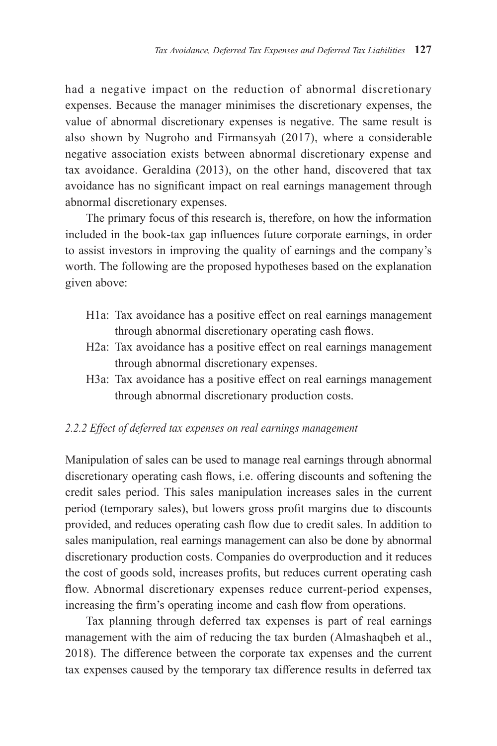had a negative impact on the reduction of abnormal discretionary expenses. Because the manager minimises the discretionary expenses, the value of abnormal discretionary expenses is negative. The same result is also shown by Nugroho and Firmansyah (2017), where a considerable negative association exists between abnormal discretionary expense and tax avoidance. Geraldina (2013), on the other hand, discovered that tax avoidance has no significant impact on real earnings management through abnormal discretionary expenses.

The primary focus of this research is, therefore, on how the information included in the book-tax gap influences future corporate earnings, in order to assist investors in improving the quality of earnings and the company's worth. The following are the proposed hypotheses based on the explanation given above:

- H1a: Tax avoidance has a positive effect on real earnings management through abnormal discretionary operating cash flows.
- H2a: Tax avoidance has a positive effect on real earnings management through abnormal discretionary expenses.
- H3a: Tax avoidance has a positive effect on real earnings management through abnormal discretionary production costs.

# *2.2.2 Effect of deferred tax expenses on real earnings management*

Manipulation of sales can be used to manage real earnings through abnormal discretionary operating cash flows, i.e. offering discounts and softening the credit sales period. This sales manipulation increases sales in the current period (temporary sales), but lowers gross profit margins due to discounts provided, and reduces operating cash flow due to credit sales. In addition to sales manipulation, real earnings management can also be done by abnormal discretionary production costs. Companies do overproduction and it reduces the cost of goods sold, increases profits, but reduces current operating cash flow. Abnormal discretionary expenses reduce current-period expenses, increasing the firm's operating income and cash flow from operations.

Tax planning through deferred tax expenses is part of real earnings management with the aim of reducing the tax burden (Almashaqbeh et al., 2018). The difference between the corporate tax expenses and the current tax expenses caused by the temporary tax difference results in deferred tax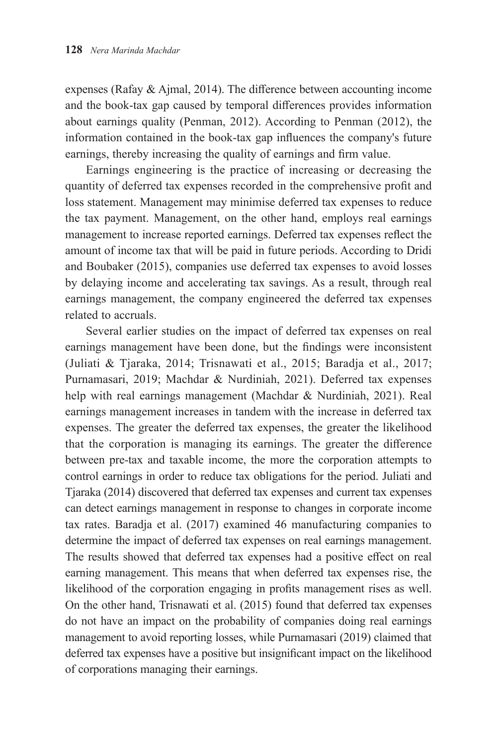expenses (Rafay & Ajmal, 2014). The difference between accounting income and the book-tax gap caused by temporal differences provides information about earnings quality (Penman, 2012). According to Penman (2012), the information contained in the book-tax gap influences the company's future earnings, thereby increasing the quality of earnings and firm value.

Earnings engineering is the practice of increasing or decreasing the quantity of deferred tax expenses recorded in the comprehensive profit and loss statement. Management may minimise deferred tax expenses to reduce the tax payment. Management, on the other hand, employs real earnings management to increase reported earnings. Deferred tax expenses reflect the amount of income tax that will be paid in future periods. According to Dridi and Boubaker (2015), companies use deferred tax expenses to avoid losses by delaying income and accelerating tax savings. As a result, through real earnings management, the company engineered the deferred tax expenses related to accruals.

Several earlier studies on the impact of deferred tax expenses on real earnings management have been done, but the findings were inconsistent (Juliati & Tjaraka, 2014; Trisnawati et al., 2015; Baradja et al., 2017; Purnamasari, 2019; Machdar & Nurdiniah, 2021). Deferred tax expenses help with real earnings management (Machdar & Nurdiniah, 2021). Real earnings management increases in tandem with the increase in deferred tax expenses. The greater the deferred tax expenses, the greater the likelihood that the corporation is managing its earnings. The greater the difference between pre-tax and taxable income, the more the corporation attempts to control earnings in order to reduce tax obligations for the period. Juliati and Tjaraka (2014) discovered that deferred tax expenses and current tax expenses can detect earnings management in response to changes in corporate income tax rates. Baradja et al. (2017) examined 46 manufacturing companies to determine the impact of deferred tax expenses on real earnings management. The results showed that deferred tax expenses had a positive effect on real earning management. This means that when deferred tax expenses rise, the likelihood of the corporation engaging in profits management rises as well. On the other hand, Trisnawati et al. (2015) found that deferred tax expenses do not have an impact on the probability of companies doing real earnings management to avoid reporting losses, while Purnamasari (2019) claimed that deferred tax expenses have a positive but insignificant impact on the likelihood of corporations managing their earnings.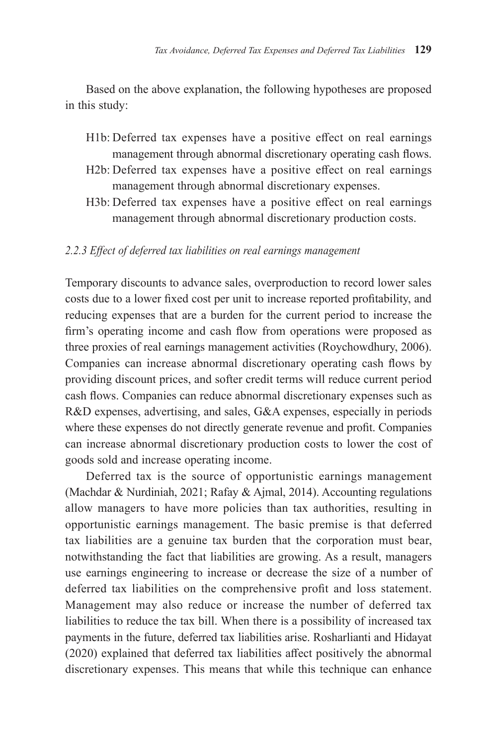Based on the above explanation, the following hypotheses are proposed in this study:

- H1b: Deferred tax expenses have a positive effect on real earnings management through abnormal discretionary operating cash flows.
- H2b: Deferred tax expenses have a positive effect on real earnings management through abnormal discretionary expenses.
- H3b: Deferred tax expenses have a positive effect on real earnings management through abnormal discretionary production costs.

#### *2.2.3 Effect of deferred tax liabilities on real earnings management*

Temporary discounts to advance sales, overproduction to record lower sales costs due to a lower fixed cost per unit to increase reported profitability, and reducing expenses that are a burden for the current period to increase the firm's operating income and cash flow from operations were proposed as three proxies of real earnings management activities (Roychowdhury, 2006). Companies can increase abnormal discretionary operating cash flows by providing discount prices, and softer credit terms will reduce current period cash flows. Companies can reduce abnormal discretionary expenses such as R&D expenses, advertising, and sales, G&A expenses, especially in periods where these expenses do not directly generate revenue and profit. Companies can increase abnormal discretionary production costs to lower the cost of goods sold and increase operating income.

Deferred tax is the source of opportunistic earnings management (Machdar & Nurdiniah, 2021; Rafay & Ajmal, 2014). Accounting regulations allow managers to have more policies than tax authorities, resulting in opportunistic earnings management. The basic premise is that deferred tax liabilities are a genuine tax burden that the corporation must bear, notwithstanding the fact that liabilities are growing. As a result, managers use earnings engineering to increase or decrease the size of a number of deferred tax liabilities on the comprehensive profit and loss statement. Management may also reduce or increase the number of deferred tax liabilities to reduce the tax bill. When there is a possibility of increased tax payments in the future, deferred tax liabilities arise. Rosharlianti and Hidayat (2020) explained that deferred tax liabilities affect positively the abnormal discretionary expenses. This means that while this technique can enhance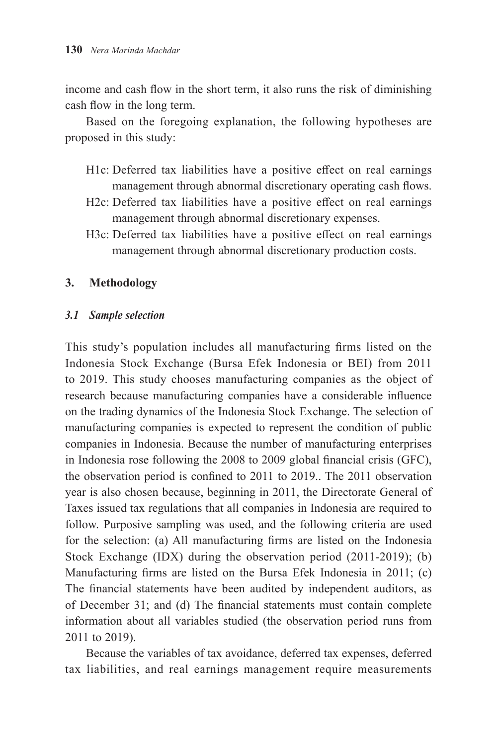income and cash flow in the short term, it also runs the risk of diminishing cash flow in the long term.

Based on the foregoing explanation, the following hypotheses are proposed in this study:

- H1c: Deferred tax liabilities have a positive effect on real earnings management through abnormal discretionary operating cash flows.
- H2c: Deferred tax liabilities have a positive effect on real earnings management through abnormal discretionary expenses.
- H3c: Deferred tax liabilities have a positive effect on real earnings management through abnormal discretionary production costs.

## **3. Methodology**

## *3.1 Sample selection*

This study's population includes all manufacturing firms listed on the Indonesia Stock Exchange (Bursa Efek Indonesia or BEI) from 2011 to 2019. This study chooses manufacturing companies as the object of research because manufacturing companies have a considerable influence on the trading dynamics of the Indonesia Stock Exchange. The selection of manufacturing companies is expected to represent the condition of public companies in Indonesia. Because the number of manufacturing enterprises in Indonesia rose following the 2008 to 2009 global financial crisis (GFC), the observation period is confined to 2011 to 2019.. The 2011 observation year is also chosen because, beginning in 2011, the Directorate General of Taxes issued tax regulations that all companies in Indonesia are required to follow. Purposive sampling was used, and the following criteria are used for the selection: (a) All manufacturing firms are listed on the Indonesia Stock Exchange (IDX) during the observation period (2011-2019); (b) Manufacturing firms are listed on the Bursa Efek Indonesia in 2011; (c) The financial statements have been audited by independent auditors, as of December 31; and (d) The financial statements must contain complete information about all variables studied (the observation period runs from 2011 to 2019).

Because the variables of tax avoidance, deferred tax expenses, deferred tax liabilities, and real earnings management require measurements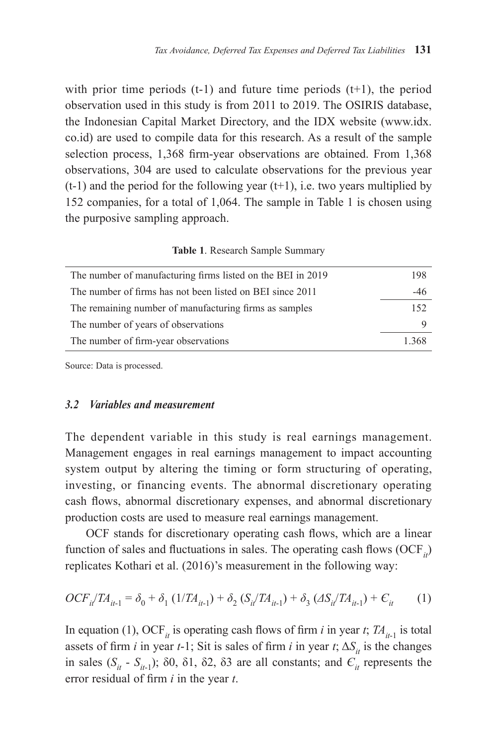with prior time periods  $(t-1)$  and future time periods  $(t+1)$ , the period observation used in this study is from 2011 to 2019. The OSIRIS database, the Indonesian Capital Market Directory, and the IDX website (www.idx. co.id) are used to compile data for this research. As a result of the sample selection process, 1,368 firm-year observations are obtained. From 1,368 observations, 304 are used to calculate observations for the previous year  $(t-1)$  and the period for the following year  $(t+1)$ , i.e. two years multiplied by 152 companies, for a total of 1,064. The sample in Table 1 is chosen using the purposive sampling approach.

|  | Table 1. Research Sample Summary |  |
|--|----------------------------------|--|
|  |                                  |  |

| The number of manufacturing firms listed on the BEI in 2019 | 198  |
|-------------------------------------------------------------|------|
| The number of firms has not been listed on BEI since 2011   | -46  |
| The remaining number of manufacturing firms as samples      | 152  |
| The number of years of observations                         |      |
| The number of firm-year observations                        | 1368 |

Source: Data is processed.

## *3.2 Variables and measurement*

The dependent variable in this study is real earnings management. Management engages in real earnings management to impact accounting system output by altering the timing or form structuring of operating, investing, or financing events. The abnormal discretionary operating cash flows, abnormal discretionary expenses, and abnormal discretionary production costs are used to measure real earnings management.

OCF stands for discretionary operating cash flows, which are a linear function of sales and fluctuations in sales. The operating cash flows  $(OCF_{i})$ replicates Kothari et al. (2016)'s measurement in the following way:

$$
OCF_{i}/TA_{it-1} = \delta_0 + \delta_1 (1/TA_{it-1}) + \delta_2 (S_i/TA_{it-1}) + \delta_3 (AS_i/TA_{it-1}) + C_{it} \tag{1}
$$

In equation (1), OCF<sub>*it*</sub> is operating cash flows of firm *i* in year *t*;  $TA_{it-1}$  is total assets of firm *i* in year *t*-1; Sit is sales of firm *i* in year *t*;  $\Delta S_i$  is the changes in sales  $(S_{it} - S_{it-1})$ ; δ0, δ1, δ2, δ3 are all constants; and  $C_{it}$  represents the error residual of firm *i* in the year *t*.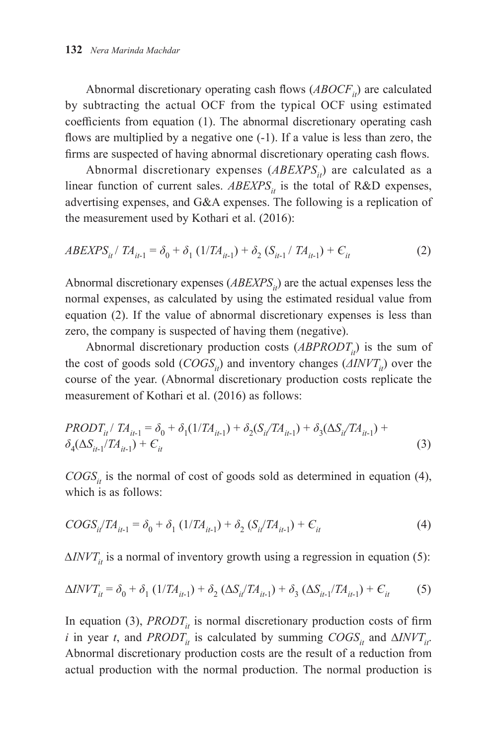Abnormal discretionary operating cash flows  $(ABOCF<sub>it</sub>)$  are calculated by subtracting the actual OCF from the typical OCF using estimated coefficients from equation (1). The abnormal discretionary operating cash flows are multiplied by a negative one (-1). If a value is less than zero, the firms are suspected of having abnormal discretionary operating cash flows.

Abnormal discretionary expenses (*ABEXPS<sub>i</sub>*) are calculated as a linear function of current sales.  $ABEXPS_{it}$  is the total of R&D expenses, advertising expenses, and G&A expenses. The following is a replication of the measurement used by Kothari et al. (2016):

$$
ABEXPS_{it} / TA_{it-1} = \delta_0 + \delta_1 (1/TA_{it-1}) + \delta_2 (S_{it-1} / TA_{it-1}) + C_{it}
$$
 (2)

Abnormal discretionary expenses (*ABEXPS<sub>ii</sub>*) are the actual expenses less the normal expenses, as calculated by using the estimated residual value from equation (2). If the value of abnormal discretionary expenses is less than zero, the company is suspected of having them (negative).

Abnormal discretionary production costs  $(ABPRODT<sub>i</sub>)$  is the sum of the cost of goods sold  $(COGS<sub>i</sub>)$  and inventory changes  $(AINVT<sub>i</sub>)$  over the course of the year. (Abnormal discretionary production costs replicate the measurement of Kothari et al. (2016) as follows:

$$
PRODT_{it} / TA_{it-1} = \delta_0 + \delta_1(1/TA_{it-1}) + \delta_2(S_i/TA_{it-1}) + \delta_3(\Delta S_{it}/TA_{it-1}) + \delta_4(\Delta S_{it-1}/TA_{it-1}) + C_{it}
$$
\n(3)

 $COGS_{it}$  is the normal of cost of goods sold as determined in equation (4), which is as follows:

$$
COGS_{it}/TA_{it-1} = \delta_0 + \delta_1 (1/TA_{it-1}) + \delta_2 (S_{it}/TA_{it-1}) + C_{it}
$$
\n(4)

 $\Delta INVT_{it}$  is a normal of inventory growth using a regression in equation (5):

$$
\Delta INVT_{it} = \delta_0 + \delta_1 (1/TA_{it-1}) + \delta_2 (\Delta S_{it}/TA_{it-1}) + \delta_3 (\Delta S_{it-1}/TA_{it-1}) + C_{it}
$$
 (5)

In equation (3), *PRODT<sub>it</sub>* is normal discretionary production costs of firm *i* in year *t*, and *PRODT<sub>it</sub>* is calculated by summing  $COGS_{it}$  and  $\Delta NVT_{it}$ . Abnormal discretionary production costs are the result of a reduction from actual production with the normal production. The normal production is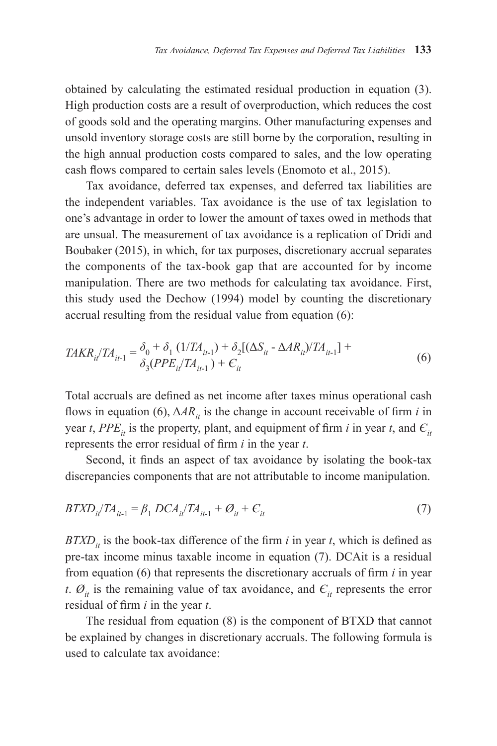obtained by calculating the estimated residual production in equation (3). High production costs are a result of overproduction, which reduces the cost of goods sold and the operating margins. Other manufacturing expenses and unsold inventory storage costs are still borne by the corporation, resulting in the high annual production costs compared to sales, and the low operating cash flows compared to certain sales levels (Enomoto et al., 2015).

Tax avoidance, deferred tax expenses, and deferred tax liabilities are the independent variables. Tax avoidance is the use of tax legislation to one's advantage in order to lower the amount of taxes owed in methods that are unsual. The measurement of tax avoidance is a replication of Dridi and Boubaker (2015), in which, for tax purposes, discretionary accrual separates the components of the tax-book gap that are accounted for by income manipulation. There are two methods for calculating tax avoidance. First, this study used the Dechow (1994) model by counting the discretionary accrual resulting from the residual value from equation (6):

$$
TAKR_{il}/TA_{il-1} = \delta_0 + \delta_1 (1/TA_{il-1}) + \delta_2[(\Delta S_{il} - \Delta AR_{il})/TA_{il-1}] + \delta_3 (PPE_{il}/TA_{il-1}) + C_{il}
$$
\n(6)

Total accruals are defined as net income after taxes minus operational cash flows in equation (6),  $\Delta AR_{it}$  is the change in account receivable of firm *i* in year *t*, *PPE<sub>it</sub>* is the property, plant, and equipment of firm *i* in year *t*, and  $C_i$ represents the error residual of firm *i* in the year *t*.

Second, it finds an aspect of tax avoidance by isolating the book-tax discrepancies components that are not attributable to income manipulation.

$$
BTXD_{i}/TA_{i-1} = \beta_1 \, DCA_{i}/TA_{i-1} + \mathcal{O}_{it} + C_{it}
$$
\n<sup>(7)</sup>

 $BTXD_{it}$  is the book-tax difference of the firm *i* in year *t*, which is defined as pre-tax income minus taxable income in equation (7). DCAit is a residual from equation (6) that represents the discretionary accruals of firm *i* in year *t*.  $\mathcal{O}_{it}$  is the remaining value of tax avoidance, and  $C_{it}$  represents the error residual of firm *i* in the year *t*.

The residual from equation (8) is the component of BTXD that cannot be explained by changes in discretionary accruals. The following formula is used to calculate tax avoidance: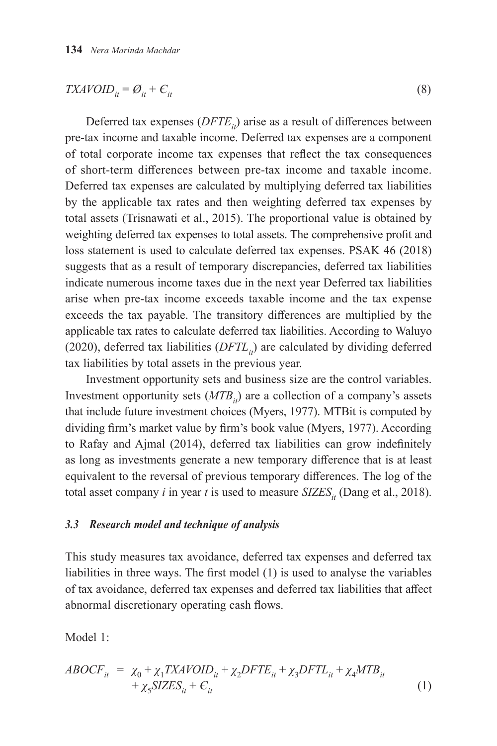$$
TXAVOID_{it} = \mathcal{O}_{it} + \mathcal{C}_{it} \tag{8}
$$

Deferred tax expenses (*DFTE<sub>it</sub>*) arise as a result of differences between pre-tax income and taxable income. Deferred tax expenses are a component of total corporate income tax expenses that reflect the tax consequences of short-term differences between pre-tax income and taxable income. Deferred tax expenses are calculated by multiplying deferred tax liabilities by the applicable tax rates and then weighting deferred tax expenses by total assets (Trisnawati et al., 2015). The proportional value is obtained by weighting deferred tax expenses to total assets. The comprehensive profit and loss statement is used to calculate deferred tax expenses. PSAK 46 (2018) suggests that as a result of temporary discrepancies, deferred tax liabilities indicate numerous income taxes due in the next year Deferred tax liabilities arise when pre-tax income exceeds taxable income and the tax expense exceeds the tax payable. The transitory differences are multiplied by the applicable tax rates to calculate deferred tax liabilities. According to Waluyo (2020), deferred tax liabilities  $(DFTL<sub>i</sub>)$  are calculated by dividing deferred tax liabilities by total assets in the previous year.

Investment opportunity sets and business size are the control variables. Investment opportunity sets (*MTB<sub>it</sub>*) are a collection of a company's assets that include future investment choices (Myers, 1977). MTBit is computed by dividing firm's market value by firm's book value (Myers, 1977). According to Rafay and Ajmal (2014), deferred tax liabilities can grow indefinitely as long as investments generate a new temporary difference that is at least equivalent to the reversal of previous temporary differences. The log of the total asset company *i* in year *t* is used to measure  $SIZES<sub>it</sub>$  (Dang et al., 2018).

#### *3.3 Research model and technique of analysis*

This study measures tax avoidance, deferred tax expenses and deferred tax liabilities in three ways. The first model (1) is used to analyse the variables of tax avoidance, deferred tax expenses and deferred tax liabilities that affect abnormal discretionary operating cash flows.

Model 1:

$$
ABOCF_{it} = \chi_0 + \chi_1 TXAVOID_{it} + \chi_2 DFTE_{it} + \chi_3 DFTL_{it} + \chi_4 MTB_{it}
$$
  
+  $\chi_5$ SZZES<sub>it</sub> +  $C_{it}$  (1)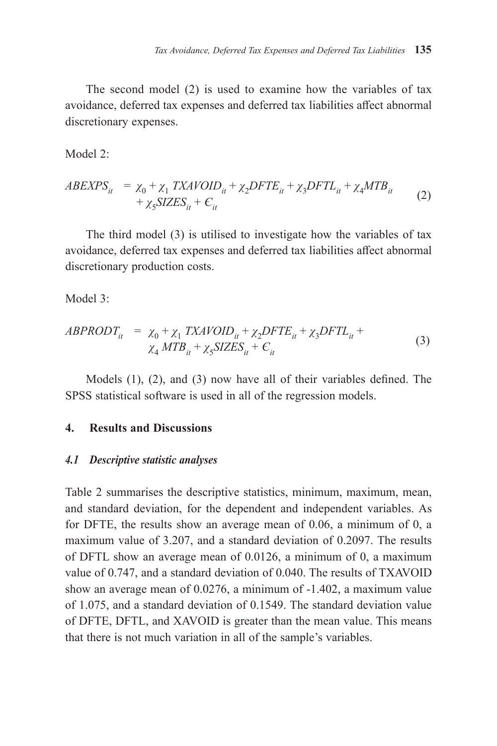The second model (2) is used to examine how the variables of tax avoidance, deferred tax expenses and deferred tax liabilities affect abnormal discretionary expenses.

Model 2:

$$
ABEXPS_{it} = \chi_0 + \chi_1 TXAVOID_{it} + \chi_2 DFTE_{it} + \chi_3 DFTL_{it} + \chi_4 MTB_{it}
$$
  
+  $\chi_5 SIZES_{it} + C_{it}$  (2)

The third model (3) is utilised to investigate how the variables of tax avoidance, deferred tax expenses and deferred tax liabilities affect abnormal discretionary production costs.

Model 3<sup>.</sup>

$$
ABPRODT_{it} = \chi_0 + \chi_1 TXAVOID_{it} + \chi_2 DFTE_{it} + \chi_3 DFTL_{it} + \chi_4 MTB_{it} + \chi_5 SIZES_{it} + C_{it}
$$
\n(3)

Models (1), (2), and (3) now have all of their variables defined. The SPSS statistical software is used in all of the regression models.

## **4. Results and Discussions**

## *4.1 Descriptive statistic analyses*

Table 2 summarises the descriptive statistics, minimum, maximum, mean, and standard deviation, for the dependent and independent variables. As for DFTE, the results show an average mean of 0.06, a minimum of 0, a maximum value of 3.207, and a standard deviation of 0.2097. The results of DFTL show an average mean of 0.0126, a minimum of 0, a maximum value of 0.747, and a standard deviation of 0.040. The results of TXAVOID show an average mean of 0.0276, a minimum of -1.402, a maximum value of 1.075, and a standard deviation of 0.1549. The standard deviation value of DFTE, DFTL, and XAVOID is greater than the mean value. This means that there is not much variation in all of the sample's variables.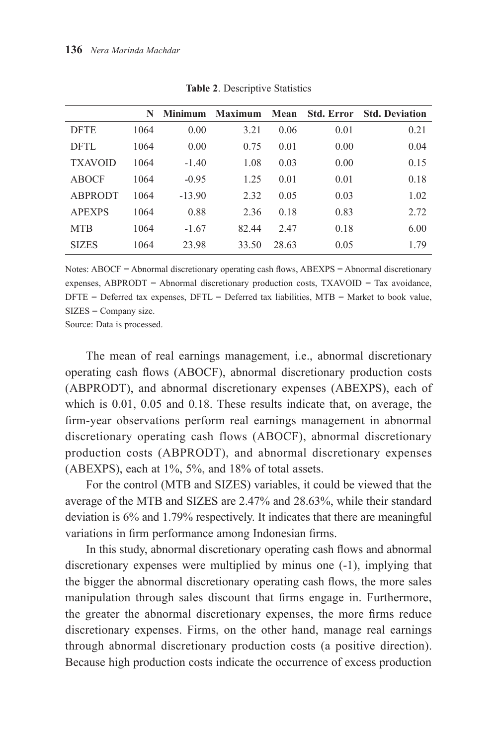|                | N    | <b>Minimum</b> | <b>Maximum</b> | Mean  | <b>Std. Error</b> | <b>Std. Deviation</b> |
|----------------|------|----------------|----------------|-------|-------------------|-----------------------|
| <b>DFTE</b>    | 1064 | 0.00           | 3.21           | 0.06  | 0.01              | 0.21                  |
| <b>DFTL</b>    | 1064 | 0.00           | 0.75           | 0.01  | 0.00              | 0.04                  |
| <b>TXAVOID</b> | 1064 | $-1.40$        | 1.08           | 0.03  | 0.00              | 0.15                  |
| ABOCF          | 1064 | $-0.95$        | 1.25           | 0.01  | 0.01              | 0.18                  |
| <b>ABPRODT</b> | 1064 | $-13.90$       | 2.32           | 0.05  | 0.03              | 1.02                  |
| <b>APEXPS</b>  | 1064 | 0.88           | 2.36           | 0.18  | 0.83              | 2.72                  |
| <b>MTB</b>     | 1064 | $-1.67$        | 82.44          | 2.47  | 0.18              | 6.00                  |
| <b>SIZES</b>   | 1064 | 23.98          | 33.50          | 28.63 | 0.05              | 1.79                  |

**Table 2**. Descriptive Statistics

Notes: ABOCF = Abnormal discretionary operating cash flows, ABEXPS = Abnormal discretionary expenses, ABPRODT = Abnormal discretionary production costs, TXAVOID = Tax avoidance,  $D$ FTE = Deferred tax expenses,  $D$ FTL = Deferred tax liabilities,  $MTB =$  Market to book value, SIZES = Company size.

Source: Data is processed.

The mean of real earnings management, i.e., abnormal discretionary operating cash flows (ABOCF), abnormal discretionary production costs (ABPRODT), and abnormal discretionary expenses (ABEXPS), each of which is 0.01, 0.05 and 0.18. These results indicate that, on average, the firm-year observations perform real earnings management in abnormal discretionary operating cash flows (ABOCF), abnormal discretionary production costs (ABPRODT), and abnormal discretionary expenses (ABEXPS), each at 1%, 5%, and 18% of total assets.

For the control (MTB and SIZES) variables, it could be viewed that the average of the MTB and SIZES are 2.47% and 28.63%, while their standard deviation is 6% and 1.79% respectively. It indicates that there are meaningful variations in firm performance among Indonesian firms.

In this study, abnormal discretionary operating cash flows and abnormal discretionary expenses were multiplied by minus one (-1), implying that the bigger the abnormal discretionary operating cash flows, the more sales manipulation through sales discount that firms engage in. Furthermore, the greater the abnormal discretionary expenses, the more firms reduce discretionary expenses. Firms, on the other hand, manage real earnings through abnormal discretionary production costs (a positive direction). Because high production costs indicate the occurrence of excess production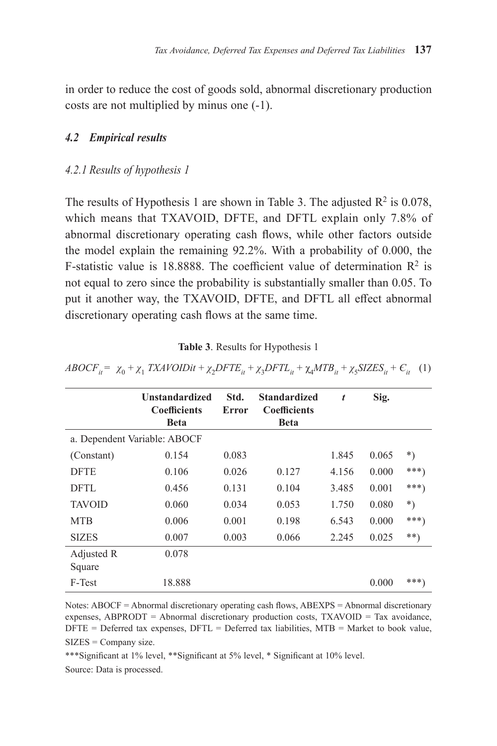in order to reduce the cost of goods sold, abnormal discretionary production costs are not multiplied by minus one (-1).

## *4.2 Empirical results*

#### *4.2.1 Results of hypothesis 1*

The results of Hypothesis 1 are shown in Table 3. The adjusted  $R^2$  is 0.078, which means that TXAVOID, DFTE, and DFTL explain only 7.8% of abnormal discretionary operating cash flows, while other factors outside the model explain the remaining 92.2%. With a probability of 0.000, the F-statistic value is 18.8888. The coefficient value of determination  $\mathbb{R}^2$  is not equal to zero since the probability is substantially smaller than 0.05. To put it another way, the TXAVOID, DFTE, and DFTL all effect abnormal discretionary operating cash flows at the same time.

| Table 3. Results for Hypothesis 1 |  |  |  |  |  |
|-----------------------------------|--|--|--|--|--|
|-----------------------------------|--|--|--|--|--|

|                      | <b>Unstandardized</b><br><b>Coefficients</b><br><b>Beta</b> | Std.<br>Error | <b>Standardized</b><br><b>Coefficients</b><br><b>Beta</b> | $\boldsymbol{t}$ | Sig.  |        |
|----------------------|-------------------------------------------------------------|---------------|-----------------------------------------------------------|------------------|-------|--------|
|                      | a. Dependent Variable: ABOCF                                |               |                                                           |                  |       |        |
| (Constant)           | 0.154                                                       | 0.083         |                                                           | 1.845            | 0.065 | $^*)$  |
| <b>DFTE</b>          | 0.106                                                       | 0.026         | 0.127                                                     | 4.156            | 0.000 | $***)$ |
| <b>DFTL</b>          | 0.456                                                       | 0.131         | 0.104                                                     | 3.485            | 0.001 | $***)$ |
| <b>TAVOID</b>        | 0.060                                                       | 0.034         | 0.053                                                     | 1.750            | 0.080 | $^*)$  |
| <b>MTB</b>           | 0.006                                                       | 0.001         | 0.198                                                     | 6.543            | 0.000 | ***)   |
| <b>SIZES</b>         | 0.007                                                       | 0.003         | 0.066                                                     | 2.245            | 0.025 | $***)$ |
| Adjusted R<br>Square | 0.078                                                       |               |                                                           |                  |       |        |
| F-Test               | 18.888                                                      |               |                                                           |                  | 0.000 | ***)   |

 $ABOCF_{ii} = \chi_0 + \chi_1 TXAVOIDit + \chi_2 DFTE_{ii} + \chi_3 DFTL_{ii} + \chi_4 MTB_{ii} + \chi_5 SIZES_{ii} + C_{ii}$  (1)

Notes: ABOCF = Abnormal discretionary operating cash flows, ABEXPS = Abnormal discretionary expenses, ABPRODT = Abnormal discretionary production costs,  $TXAVOID = Tax avoidance$ ,  $D$ FTE = Deferred tax expenses,  $D$ FTL = Deferred tax liabilities, MTB = Market to book value, SIZES = Company size.

\*\*\*Significant at 1% level, \*\*Significant at 5% level, \* Significant at 10% level.

Source: Data is processed.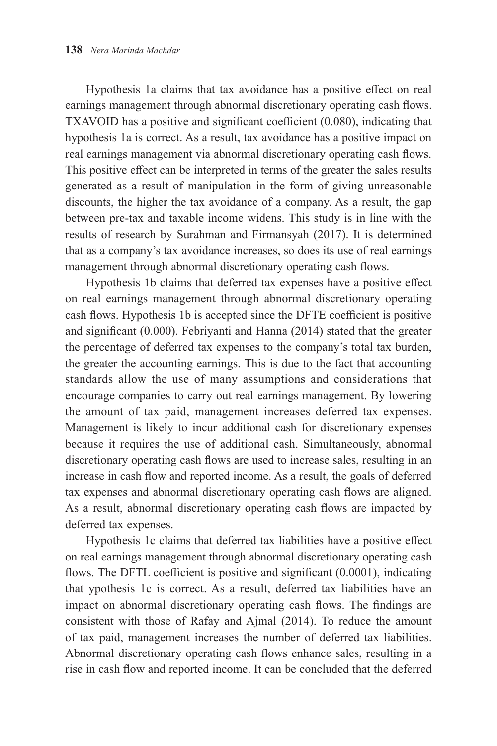Hypothesis 1a claims that tax avoidance has a positive effect on real earnings management through abnormal discretionary operating cash flows. TXAVOID has a positive and significant coefficient (0.080), indicating that hypothesis 1a is correct. As a result, tax avoidance has a positive impact on real earnings management via abnormal discretionary operating cash flows. This positive effect can be interpreted in terms of the greater the sales results generated as a result of manipulation in the form of giving unreasonable discounts, the higher the tax avoidance of a company. As a result, the gap between pre-tax and taxable income widens. This study is in line with the results of research by Surahman and Firmansyah (2017). It is determined that as a company's tax avoidance increases, so does its use of real earnings management through abnormal discretionary operating cash flows.

Hypothesis 1b claims that deferred tax expenses have a positive effect on real earnings management through abnormal discretionary operating cash flows. Hypothesis 1b is accepted since the DFTE coefficient is positive and significant (0.000). Febriyanti and Hanna (2014) stated that the greater the percentage of deferred tax expenses to the company's total tax burden, the greater the accounting earnings. This is due to the fact that accounting standards allow the use of many assumptions and considerations that encourage companies to carry out real earnings management. By lowering the amount of tax paid, management increases deferred tax expenses. Management is likely to incur additional cash for discretionary expenses because it requires the use of additional cash. Simultaneously, abnormal discretionary operating cash flows are used to increase sales, resulting in an increase in cash flow and reported income. As a result, the goals of deferred tax expenses and abnormal discretionary operating cash flows are aligned. As a result, abnormal discretionary operating cash flows are impacted by deferred tax expenses.

Hypothesis 1c claims that deferred tax liabilities have a positive effect on real earnings management through abnormal discretionary operating cash flows. The DFTL coefficient is positive and significant (0.0001), indicating that ypothesis 1c is correct. As a result, deferred tax liabilities have an impact on abnormal discretionary operating cash flows. The findings are consistent with those of Rafay and Ajmal (2014). To reduce the amount of tax paid, management increases the number of deferred tax liabilities. Abnormal discretionary operating cash flows enhance sales, resulting in a rise in cash flow and reported income. It can be concluded that the deferred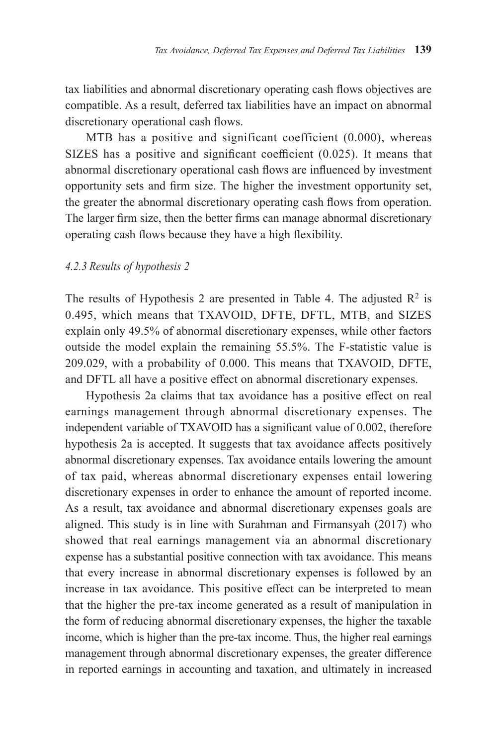tax liabilities and abnormal discretionary operating cash flows objectives are compatible. As a result, deferred tax liabilities have an impact on abnormal discretionary operational cash flows.

MTB has a positive and significant coefficient (0.000), whereas SIZES has a positive and significant coefficient (0.025). It means that abnormal discretionary operational cash flows are influenced by investment opportunity sets and firm size. The higher the investment opportunity set, the greater the abnormal discretionary operating cash flows from operation. The larger firm size, then the better firms can manage abnormal discretionary operating cash flows because they have a high flexibility.

#### *4.2.3 Results of hypothesis 2*

The results of Hypothesis 2 are presented in Table 4. The adjusted  $\mathbb{R}^2$  is 0.495, which means that TXAVOID, DFTE, DFTL, MTB, and SIZES explain only 49.5% of abnormal discretionary expenses, while other factors outside the model explain the remaining 55.5%. The F-statistic value is 209.029, with a probability of 0.000. This means that TXAVOID, DFTE, and DFTL all have a positive effect on abnormal discretionary expenses.

Hypothesis 2a claims that tax avoidance has a positive effect on real earnings management through abnormal discretionary expenses. The independent variable of TXAVOID has a significant value of 0.002, therefore hypothesis 2a is accepted. It suggests that tax avoidance affects positively abnormal discretionary expenses. Tax avoidance entails lowering the amount of tax paid, whereas abnormal discretionary expenses entail lowering discretionary expenses in order to enhance the amount of reported income. As a result, tax avoidance and abnormal discretionary expenses goals are aligned. This study is in line with Surahman and Firmansyah (2017) who showed that real earnings management via an abnormal discretionary expense has a substantial positive connection with tax avoidance. This means that every increase in abnormal discretionary expenses is followed by an increase in tax avoidance. This positive effect can be interpreted to mean that the higher the pre-tax income generated as a result of manipulation in the form of reducing abnormal discretionary expenses, the higher the taxable income, which is higher than the pre-tax income. Thus, the higher real earnings management through abnormal discretionary expenses, the greater difference in reported earnings in accounting and taxation, and ultimately in increased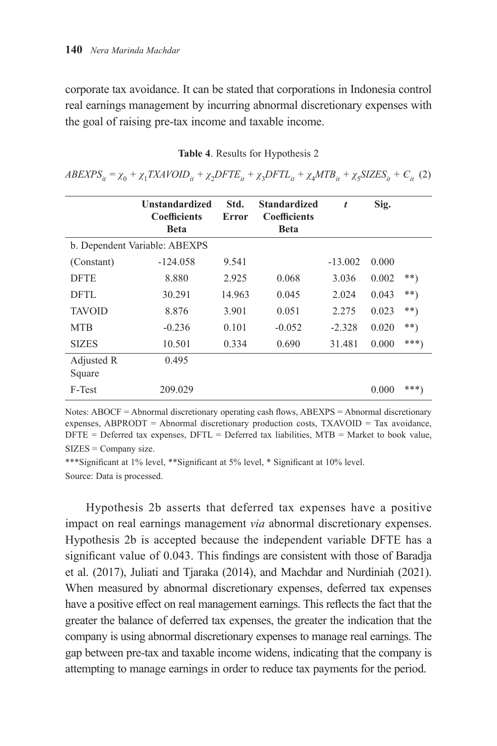corporate tax avoidance. It can be stated that corporations in Indonesia control real earnings management by incurring abnormal discretionary expenses with the goal of raising pre-tax income and taxable income.

|                      | <b>Unstandardized</b>         | Std.   | <b>Standardized</b>                | t         | Sig.  |       |
|----------------------|-------------------------------|--------|------------------------------------|-----------|-------|-------|
|                      | <b>Coefficients</b><br>Beta   | Error  | <b>Coefficients</b><br><b>Beta</b> |           |       |       |
|                      | b. Dependent Variable: ABEXPS |        |                                    |           |       |       |
| (Constant)           | $-124.058$                    | 9.541  |                                    | $-13.002$ | 0.000 |       |
| <b>DFTE</b>          | 8.880                         | 2.925  | 0.068                              | 3.036     | 0.002 | $**$  |
| <b>DFTL</b>          | 30.291                        | 14.963 | 0.045                              | 2.024     | 0.043 | $***$ |
| <b>TAVOID</b>        | 8.876                         | 3.901  | 0.051                              | 2.275     | 0.023 | **)   |
| <b>MTB</b>           | $-0.236$                      | 0.101  | $-0.052$                           | $-2.328$  | 0.020 | $**$  |
| <b>SIZES</b>         | 10.501                        | 0.334  | 0.690                              | 31.481    | 0.000 | ***)  |
| Adjusted R<br>Square | 0.495                         |        |                                    |           |       |       |
| F-Test               | 209.029                       |        |                                    |           | 0.000 | ***)  |

**Table 4**. Results for Hypothesis 2

 $ABEXPS_{it} = \chi_0 + \chi_1 TXAVOID_{it} + \chi_2 DFTE_{it} + \chi_3 DFTL_{it} + \chi_4 MTB_{it} + \chi_5 SIZES_{it} + C_{it}$  (2)

Notes: ABOCF = Abnormal discretionary operating cash flows, ABEXPS = Abnormal discretionary expenses, ABPRODT = Abnormal discretionary production costs, TXAVOID = Tax avoidance,  $D$ FTE = Deferred tax expenses,  $D$ FTL = Deferred tax liabilities,  $M$ TB = Market to book value, SIZES = Company size.

\*\*\*Significant at 1% level, \*\*Significant at 5% level, \* Significant at 10% level. Source: Data is processed.

Hypothesis 2b asserts that deferred tax expenses have a positive impact on real earnings management *via* abnormal discretionary expenses. Hypothesis 2b is accepted because the independent variable DFTE has a significant value of 0.043. This findings are consistent with those of Baradja et al. (2017), Juliati and Tjaraka (2014), and Machdar and Nurdiniah (2021). When measured by abnormal discretionary expenses, deferred tax expenses have a positive effect on real management earnings. This reflects the fact that the greater the balance of deferred tax expenses, the greater the indication that the company is using abnormal discretionary expenses to manage real earnings. The gap between pre-tax and taxable income widens, indicating that the company is attempting to manage earnings in order to reduce tax payments for the period.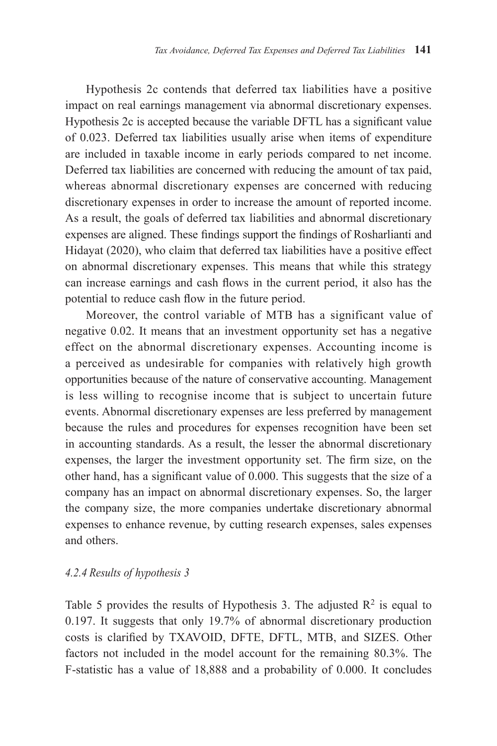Hypothesis 2c contends that deferred tax liabilities have a positive impact on real earnings management via abnormal discretionary expenses. Hypothesis 2c is accepted because the variable DFTL has a significant value of 0.023. Deferred tax liabilities usually arise when items of expenditure are included in taxable income in early periods compared to net income. Deferred tax liabilities are concerned with reducing the amount of tax paid, whereas abnormal discretionary expenses are concerned with reducing discretionary expenses in order to increase the amount of reported income. As a result, the goals of deferred tax liabilities and abnormal discretionary expenses are aligned. These findings support the findings of Rosharlianti and Hidayat (2020), who claim that deferred tax liabilities have a positive effect on abnormal discretionary expenses. This means that while this strategy can increase earnings and cash flows in the current period, it also has the potential to reduce cash flow in the future period.

Moreover, the control variable of MTB has a significant value of negative 0.02. It means that an investment opportunity set has a negative effect on the abnormal discretionary expenses. Accounting income is a perceived as undesirable for companies with relatively high growth opportunities because of the nature of conservative accounting. Management is less willing to recognise income that is subject to uncertain future events. Abnormal discretionary expenses are less preferred by management because the rules and procedures for expenses recognition have been set in accounting standards. As a result, the lesser the abnormal discretionary expenses, the larger the investment opportunity set. The firm size, on the other hand, has a significant value of 0.000. This suggests that the size of a company has an impact on abnormal discretionary expenses. So, the larger the company size, the more companies undertake discretionary abnormal expenses to enhance revenue, by cutting research expenses, sales expenses and others.

## *4.2.4 Results of hypothesis 3*

Table 5 provides the results of Hypothesis 3. The adjusted  $\mathbb{R}^2$  is equal to 0.197. It suggests that only 19.7% of abnormal discretionary production costs is clarified by TXAVOID, DFTE, DFTL, MTB, and SIZES. Other factors not included in the model account for the remaining 80.3%. The F-statistic has a value of 18,888 and a probability of 0.000. It concludes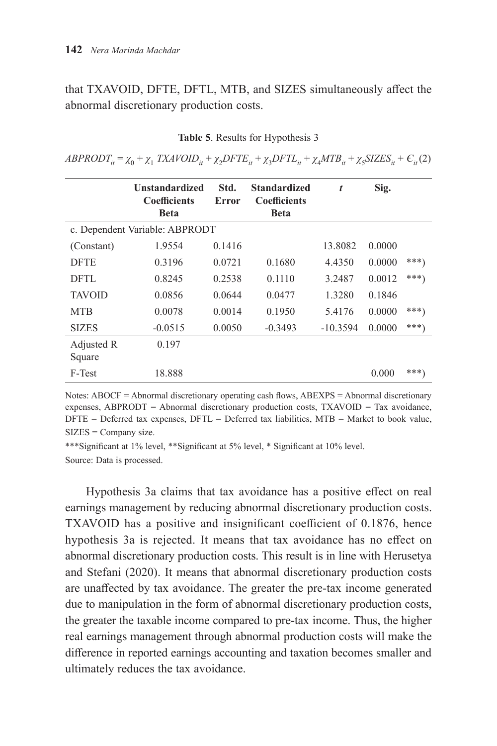that TXAVOID, DFTE, DFTL, MTB, and SIZES simultaneously affect the abnormal discretionary production costs.

|                      | <b>Unstandardized</b><br><b>Coefficients</b><br><b>Beta</b> | Std.<br>Error | <b>Standardized</b><br><b>Coefficients</b><br><b>Beta</b> | t          | Sig.   |         |
|----------------------|-------------------------------------------------------------|---------------|-----------------------------------------------------------|------------|--------|---------|
|                      | c. Dependent Variable: ABPRODT                              |               |                                                           |            |        |         |
| (Constant)           | 1.9554                                                      | 0.1416        |                                                           | 13.8082    | 0.0000 |         |
| <b>DFTE</b>          | 0.3196                                                      | 0.0721        | 0.1680                                                    | 4.4350     | 0.0000 | $***$ ) |
| DFTL                 | 0.8245                                                      | 0.2538        | 0.1110                                                    | 3.2487     | 0.0012 | $***$ ) |
| <b>TAVOID</b>        | 0.0856                                                      | 0.0644        | 0.0477                                                    | 1.3280     | 0.1846 |         |
| <b>MTB</b>           | 0.0078                                                      | 0.0014        | 0.1950                                                    | 5.4176     | 0.0000 | $***)$  |
| <b>SIZES</b>         | $-0.0515$                                                   | 0.0050        | $-0.3493$                                                 | $-10.3594$ | 0.0000 | ***)    |
| Adjusted R<br>Square | 0.197                                                       |               |                                                           |            |        |         |
| F-Test               | 18.888                                                      |               |                                                           |            | 0.000  | ***)    |

**Table 5**. Results for Hypothesis 3

 $ABPRODT_{ii} = \chi_0 + \chi_1 TXAVOID_{ii} + \chi_2 DFTE_{ii} + \chi_3 DFTL_{ii} + \chi_4 MTB_{ii} + \chi_5 SIZES_{ii} + C_{ii}(2)$ 

Notes: ABOCF = Abnormal discretionary operating cash flows, ABEXPS = Abnormal discretionary expenses, ABPRODT = Abnormal discretionary production costs, TXAVOID = Tax avoidance,  $D$ FTE = Deferred tax expenses,  $D$ FTL = Deferred tax liabilities, MTB = Market to book value, SIZES = Company size.

\*\*\*Significant at 1% level, \*\*Significant at 5% level, \* Significant at 10% level. Source: Data is processed.

Hypothesis 3a claims that tax avoidance has a positive effect on real earnings management by reducing abnormal discretionary production costs. TXAVOID has a positive and insignificant coefficient of 0.1876, hence hypothesis 3a is rejected. It means that tax avoidance has no effect on abnormal discretionary production costs. This result is in line with Herusetya and Stefani (2020). It means that abnormal discretionary production costs are unaffected by tax avoidance. The greater the pre-tax income generated due to manipulation in the form of abnormal discretionary production costs, the greater the taxable income compared to pre-tax income. Thus, the higher real earnings management through abnormal production costs will make the difference in reported earnings accounting and taxation becomes smaller and ultimately reduces the tax avoidance.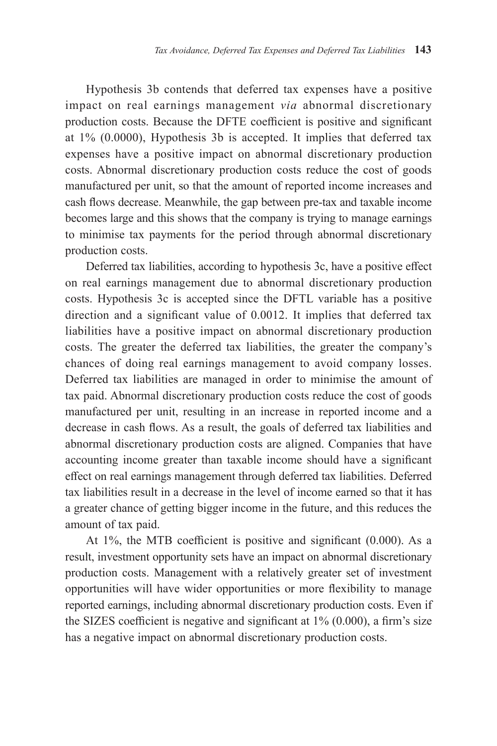Hypothesis 3b contends that deferred tax expenses have a positive impact on real earnings management *via* abnormal discretionary production costs. Because the DFTE coefficient is positive and significant at 1% (0.0000), Hypothesis 3b is accepted. It implies that deferred tax expenses have a positive impact on abnormal discretionary production costs. Abnormal discretionary production costs reduce the cost of goods manufactured per unit, so that the amount of reported income increases and cash flows decrease. Meanwhile, the gap between pre-tax and taxable income becomes large and this shows that the company is trying to manage earnings to minimise tax payments for the period through abnormal discretionary production costs.

Deferred tax liabilities, according to hypothesis 3c, have a positive effect on real earnings management due to abnormal discretionary production costs. Hypothesis 3c is accepted since the DFTL variable has a positive direction and a significant value of 0.0012. It implies that deferred tax liabilities have a positive impact on abnormal discretionary production costs. The greater the deferred tax liabilities, the greater the company's chances of doing real earnings management to avoid company losses. Deferred tax liabilities are managed in order to minimise the amount of tax paid. Abnormal discretionary production costs reduce the cost of goods manufactured per unit, resulting in an increase in reported income and a decrease in cash flows. As a result, the goals of deferred tax liabilities and abnormal discretionary production costs are aligned. Companies that have accounting income greater than taxable income should have a significant effect on real earnings management through deferred tax liabilities. Deferred tax liabilities result in a decrease in the level of income earned so that it has a greater chance of getting bigger income in the future, and this reduces the amount of tax paid.

At 1%, the MTB coefficient is positive and significant (0.000). As a result, investment opportunity sets have an impact on abnormal discretionary production costs. Management with a relatively greater set of investment opportunities will have wider opportunities or more flexibility to manage reported earnings, including abnormal discretionary production costs. Even if the SIZES coefficient is negative and significant at  $1\%$  (0.000), a firm's size has a negative impact on abnormal discretionary production costs.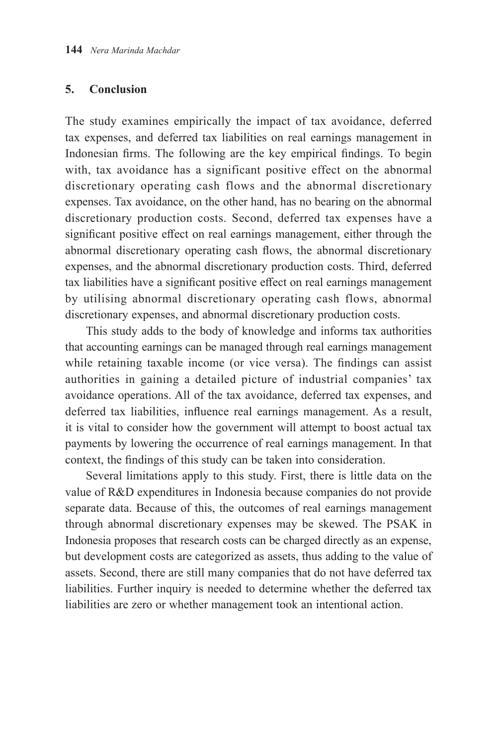# **5. Conclusion**

The study examines empirically the impact of tax avoidance, deferred tax expenses, and deferred tax liabilities on real earnings management in Indonesian firms. The following are the key empirical findings. To begin with, tax avoidance has a significant positive effect on the abnormal discretionary operating cash flows and the abnormal discretionary expenses. Tax avoidance, on the other hand, has no bearing on the abnormal discretionary production costs. Second, deferred tax expenses have a significant positive effect on real earnings management, either through the abnormal discretionary operating cash flows, the abnormal discretionary expenses, and the abnormal discretionary production costs. Third, deferred tax liabilities have a significant positive effect on real earnings management by utilising abnormal discretionary operating cash flows, abnormal discretionary expenses, and abnormal discretionary production costs.

This study adds to the body of knowledge and informs tax authorities that accounting earnings can be managed through real earnings management while retaining taxable income (or vice versa). The findings can assist authorities in gaining a detailed picture of industrial companies' tax avoidance operations. All of the tax avoidance, deferred tax expenses, and deferred tax liabilities, influence real earnings management. As a result, it is vital to consider how the government will attempt to boost actual tax payments by lowering the occurrence of real earnings management. In that context, the findings of this study can be taken into consideration.

Several limitations apply to this study. First, there is little data on the value of R&D expenditures in Indonesia because companies do not provide separate data. Because of this, the outcomes of real earnings management through abnormal discretionary expenses may be skewed. The PSAK in Indonesia proposes that research costs can be charged directly as an expense, but development costs are categorized as assets, thus adding to the value of assets. Second, there are still many companies that do not have deferred tax liabilities. Further inquiry is needed to determine whether the deferred tax liabilities are zero or whether management took an intentional action.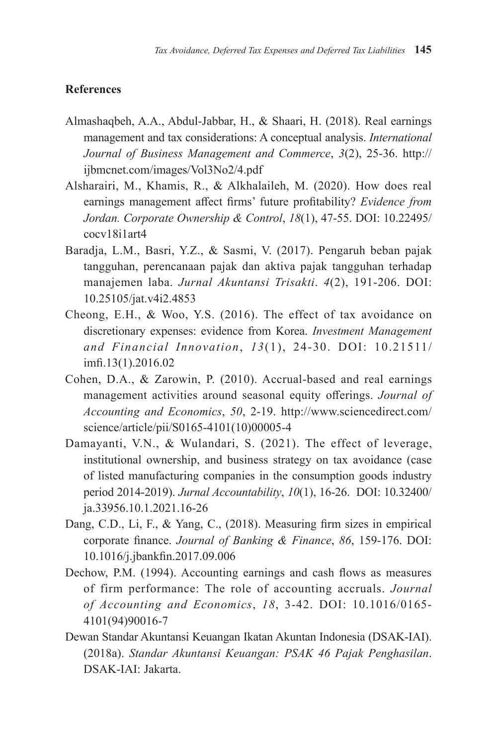# **References**

- Almashaqbeh, A.A., Abdul-Jabbar, H., & Shaari, H. (2018). Real earnings management and tax considerations: A conceptual analysis. *International Journal of Business Management and Commerce*, *3*(2), 25-36. http:// ijbmcnet.com/images/Vol3No2/4.pdf
- Alsharairi, M., Khamis, R., & Alkhalaileh, M. (2020). How does real earnings management affect firms' future profitability? *Evidence from Jordan. Corporate Ownership & Control*, *18*(1), 47-55. DOI: 10.22495/ cocv18i1art4
- Baradja, L.M., Basri, Y.Z., & Sasmi, V. (2017). Pengaruh beban pajak tangguhan, perencanaan pajak dan aktiva pajak tangguhan terhadap manajemen laba. *Jurnal Akuntansi Trisakti*. *4*(2), 191-206. DOI: 10.25105/jat.v4i2.4853
- Cheong, E.H., & Woo, Y.S. (2016). The effect of tax avoidance on discretionary expenses: evidence from Korea. *Investment Management and Financial Innovation*, *13*(1), 24-30. DOI: 10.21511/ imfi.13(1).2016.02
- Cohen, D.A., & Zarowin, P. (2010). Accrual-based and real earnings management activities around seasonal equity offerings. *Journal of Accounting and Economics*, *50*, 2-19. http://www.sciencedirect.com/ science/article/pii/S0165-4101(10)00005-4
- Damayanti, V.N., & Wulandari, S. (2021). The effect of leverage, institutional ownership, and business strategy on tax avoidance (case of listed manufacturing companies in the consumption goods industry period 2014-2019). *Jurnal Accountability*, *10*(1), 16-26. DOI: 10.32400/ ja.33956.10.1.2021.16-26
- Dang, C.D., Li, F., & Yang, C., (2018). Measuring firm sizes in empirical corporate finance. *Journal of Banking & Finance*, *86*, 159-176. DOI: 10.1016/j.jbankfin.2017.09.006
- Dechow, P.M. (1994). Accounting earnings and cash flows as measures of firm performance: The role of accounting accruals. *Journal of Accounting and Economics*, *18*, 3-42. DOI: 10.1016/0165- 4101(94)90016-7
- Dewan Standar Akuntansi Keuangan Ikatan Akuntan Indonesia (DSAK-IAI). (2018a). *Standar Akuntansi Keuangan: PSAK 46 Pajak Penghasilan*. DSAK-IAI: Jakarta.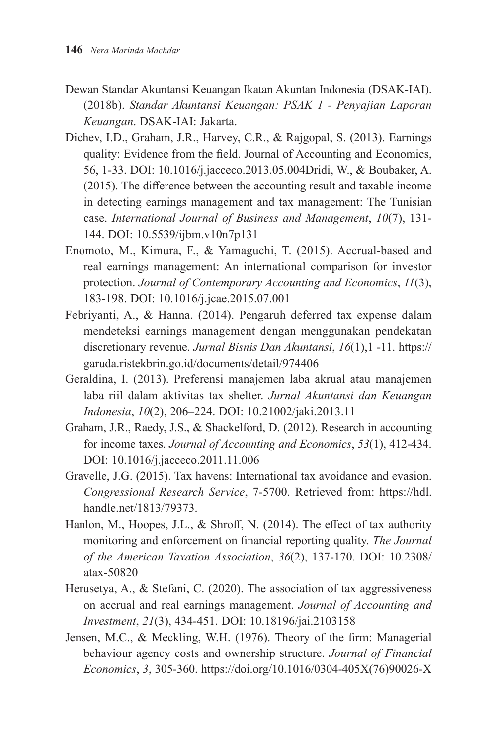- Dewan Standar Akuntansi Keuangan Ikatan Akuntan Indonesia (DSAK-IAI). (2018b). *Standar Akuntansi Keuangan: PSAK 1 - Penyajian Laporan Keuangan*. DSAK-IAI: Jakarta.
- Dichev, I.D., Graham, J.R., Harvey, C.R., & Rajgopal, S. (2013). Earnings quality: Evidence from the field. Journal of Accounting and Economics, 56, 1-33. DOI: 10.1016/j.jacceco.2013.05.004Dridi, W., & Boubaker, A. (2015). The difference between the accounting result and taxable income in detecting earnings management and tax management: The Tunisian case. *International Journal of Business and Management*, *10*(7), 131- 144. DOI: 10.5539/ijbm.v10n7p131
- Enomoto, M., Kimura, F., & Yamaguchi, T. (2015). Accrual-based and real earnings management: An international comparison for investor protection. *Journal of Contemporary Accounting and Economics*, *11*(3), 183-198. DOI: 10.1016/j.jcae.2015.07.001
- Febriyanti, A., & Hanna. (2014). Pengaruh deferred tax expense dalam mendeteksi earnings management dengan menggunakan pendekatan discretionary revenue. *Jurnal Bisnis Dan Akuntansi*, *16*(1),1 -11. https:// garuda.ristekbrin.go.id/documents/detail/974406
- Geraldina, I. (2013). Preferensi manajemen laba akrual atau manajemen laba riil dalam aktivitas tax shelter. *Jurnal Akuntansi dan Keuangan Indonesia*, *10*(2), 206–224. DOI: 10.21002/jaki.2013.11
- Graham, J.R., Raedy, J.S., & Shackelford, D. (2012). Research in accounting for income taxes. *Journal of Accounting and Economics*, *53*(1), 412-434. DOI: 10.1016/j.jacceco.2011.11.006
- Gravelle, J.G. (2015). Tax havens: International tax avoidance and evasion. *Congressional Research Service*, 7-5700. Retrieved from: https://hdl. handle.net/1813/79373.
- Hanlon, M., Hoopes, J.L., & Shroff, N. (2014). The effect of tax authority monitoring and enforcement on financial reporting quality. *The Journal of the American Taxation Association*, *36*(2), 137-170. DOI: 10.2308/ atax-50820
- Herusetya, A., & Stefani, C. (2020). The association of tax aggressiveness on accrual and real earnings management. *Journal of Accounting and Investment*, *21*(3), 434-451. DOI: 10.18196/jai.2103158
- Jensen, M.C., & Meckling, W.H. (1976). Theory of the firm: Managerial behaviour agency costs and ownership structure. *Journal of Financial Economics*, *3*, 305-360. https://doi.org/10.1016/0304-405X(76)90026-X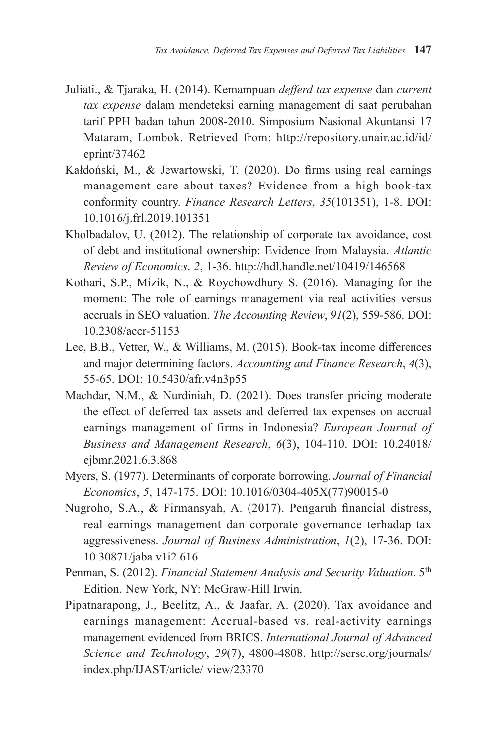- Juliati., & Tjaraka, H. (2014). Kemampuan *defferd tax expense* dan *current tax expense* dalam mendeteksi earning management di saat perubahan tarif PPH badan tahun 2008-2010. Simposium Nasional Akuntansi 17 Mataram, Lombok. Retrieved from: http://repository.unair.ac.id/id/ eprint/37462
- Kałdoński, M., & Jewartowski, T. (2020). Do firms using real earnings management care about taxes? Evidence from a high book-tax conformity country. *Finance Research Letters*, *35*(101351), 1-8. DOI: 10.1016/j.frl.2019.101351
- Kholbadalov, U. (2012). The relationship of corporate tax avoidance, cost of debt and institutional ownership: Evidence from Malaysia. *Atlantic Review of Economics*. *2*, 1-36. http://hdl.handle.net/10419/146568
- Kothari, S.P., Mizik, N., & Roychowdhury S. (2016). Managing for the moment: The role of earnings management via real activities versus accruals in SEO valuation. *The Accounting Review*, *91*(2), 559-586. DOI: 10.2308/accr-51153
- Lee, B.B., Vetter, W., & Williams, M. (2015). Book-tax income differences and major determining factors. *Accounting and Finance Research*, *4*(3), 55-65. DOI: 10.5430/afr.v4n3p55
- Machdar, N.M., & Nurdiniah, D. (2021). Does transfer pricing moderate the effect of deferred tax assets and deferred tax expenses on accrual earnings management of firms in Indonesia? *European Journal of Business and Management Research*, *6*(3), 104-110. DOI: 10.24018/ ejbmr.2021.6.3.868
- Myers, S. (1977). Determinants of corporate borrowing. *Journal of Financial Economics*, *5*, 147-175. DOI: 10.1016/0304-405X(77)90015-0
- Nugroho, S.A., & Firmansyah, A. (2017). Pengaruh financial distress, real earnings management dan corporate governance terhadap tax aggressiveness. *Journal of Business Administration*, *1*(2), 17-36. DOI: 10.30871/jaba.v1i2.616
- Penman, S. (2012). *Financial Statement Analysis and Security Valuation*. 5th Edition. New York, NY: McGraw-Hill Irwin.
- Pipatnarapong, J., Beelitz, A., & Jaafar, A. (2020). Tax avoidance and earnings management: Accrual-based vs. real-activity earnings management evidenced from BRICS. *International Journal of Advanced Science and Technology*, *29*(7), 4800-4808. http://sersc.org/journals/ index.php/IJAST/article/ view/23370